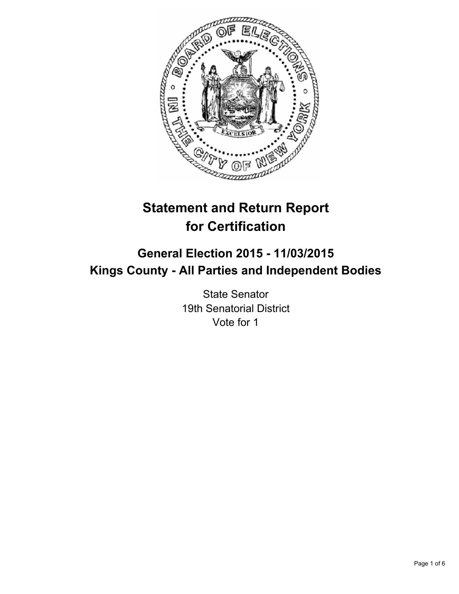

# **Statement and Return Report for Certification**

# **General Election 2015 - 11/03/2015 Kings County - All Parties and Independent Bodies**

State Senator 19th Senatorial District Vote for 1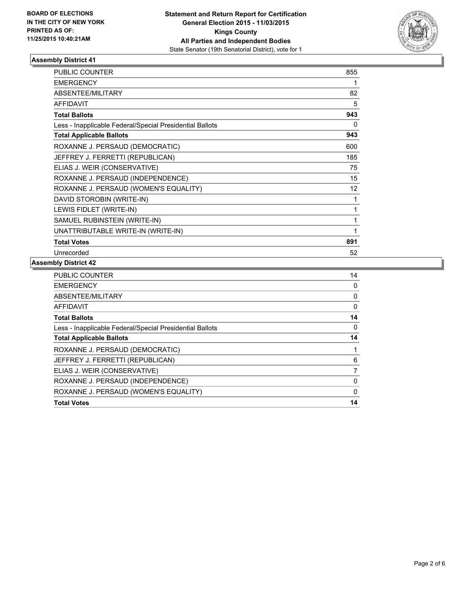

| <b>PUBLIC COUNTER</b>                                    | 855 |
|----------------------------------------------------------|-----|
| <b>EMERGENCY</b>                                         | 1   |
| ABSENTEE/MILITARY                                        | 82  |
| <b>AFFIDAVIT</b>                                         | 5   |
| <b>Total Ballots</b>                                     | 943 |
| Less - Inapplicable Federal/Special Presidential Ballots | 0   |
| <b>Total Applicable Ballots</b>                          | 943 |
| ROXANNE J. PERSAUD (DEMOCRATIC)                          | 600 |
| JEFFREY J. FERRETTI (REPUBLICAN)                         | 185 |
| ELIAS J. WEIR (CONSERVATIVE)                             | 75  |
| ROXANNE J. PERSAUD (INDEPENDENCE)                        | 15  |
| ROXANNE J. PERSAUD (WOMEN'S EQUALITY)                    | 12  |
| DAVID STOROBIN (WRITE-IN)                                | 1   |
| LEWIS FIDLET (WRITE-IN)                                  | 1   |
| SAMUEL RUBINSTEIN (WRITE-IN)                             | 1   |
| UNATTRIBUTABLE WRITE-IN (WRITE-IN)                       | 1   |
| <b>Total Votes</b>                                       | 891 |
| Unrecorded                                               | 52  |

| <b>EMERGENCY</b>                                         | 0  |
|----------------------------------------------------------|----|
| ABSENTEE/MILITARY                                        | 0  |
| AFFIDAVIT                                                | 0  |
| <b>Total Ballots</b>                                     | 14 |
| Less - Inapplicable Federal/Special Presidential Ballots | 0  |
| <b>Total Applicable Ballots</b>                          | 14 |
| ROXANNE J. PERSAUD (DEMOCRATIC)                          |    |
| JEFFREY J. FERRETTI (REPUBLICAN)                         | 6  |
| ELIAS J. WEIR (CONSERVATIVE)                             | 7  |
| ROXANNE J. PERSAUD (INDEPENDENCE)                        | 0  |
| ROXANNE J. PERSAUD (WOMEN'S EQUALITY)                    | 0  |
| <b>Total Votes</b>                                       | 14 |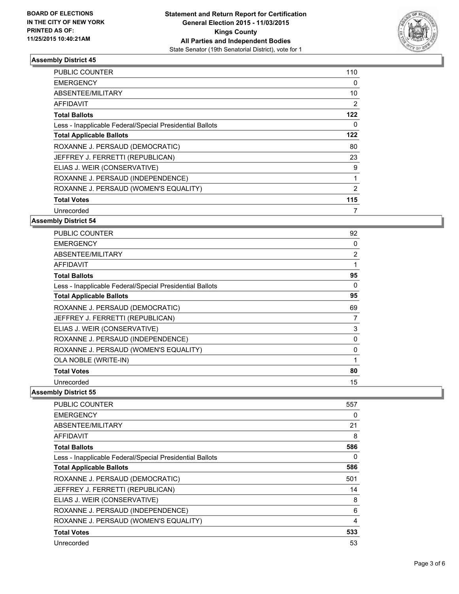

| <b>PUBLIC COUNTER</b>                                    | 110 |
|----------------------------------------------------------|-----|
| <b>EMERGENCY</b>                                         | 0   |
| ABSENTEE/MILITARY                                        | 10  |
| <b>AFFIDAVIT</b>                                         | 2   |
| <b>Total Ballots</b>                                     | 122 |
| Less - Inapplicable Federal/Special Presidential Ballots | 0   |
| <b>Total Applicable Ballots</b>                          | 122 |
| ROXANNE J. PERSAUD (DEMOCRATIC)                          | 80  |
| JEFFREY J. FERRETTI (REPUBLICAN)                         | 23  |
| ELIAS J. WEIR (CONSERVATIVE)                             | 9   |
| ROXANNE J. PERSAUD (INDEPENDENCE)                        | 1   |
| ROXANNE J. PERSAUD (WOMEN'S EQUALITY)                    | 2   |
| <b>Total Votes</b>                                       | 115 |
| Unrecorded                                               |     |

# **Assembly District 54**

| <b>PUBLIC COUNTER</b>                                    | 92             |
|----------------------------------------------------------|----------------|
| <b>EMERGENCY</b>                                         | 0              |
| ABSENTEE/MILITARY                                        | $\overline{2}$ |
| AFFIDAVIT                                                |                |
| <b>Total Ballots</b>                                     | 95             |
| Less - Inapplicable Federal/Special Presidential Ballots | 0              |
| <b>Total Applicable Ballots</b>                          | 95             |
| ROXANNE J. PERSAUD (DEMOCRATIC)                          | 69             |
| JEFFREY J. FERRETTI (REPUBLICAN)                         | 7              |
| ELIAS J. WEIR (CONSERVATIVE)                             | 3              |
| ROXANNE J. PERSAUD (INDEPENDENCE)                        | 0              |
| ROXANNE J. PERSAUD (WOMEN'S EQUALITY)                    | 0              |
| OLA NOBLE (WRITE-IN)                                     |                |
| <b>Total Votes</b>                                       | 80             |
| Unrecorded                                               | 15             |

| PUBLIC COUNTER                                           | 557 |
|----------------------------------------------------------|-----|
| <b>EMERGENCY</b>                                         | 0   |
| ABSENTEE/MILITARY                                        | 21  |
| <b>AFFIDAVIT</b>                                         | 8   |
| <b>Total Ballots</b>                                     | 586 |
| Less - Inapplicable Federal/Special Presidential Ballots | 0   |
| <b>Total Applicable Ballots</b>                          | 586 |
| ROXANNE J. PERSAUD (DEMOCRATIC)                          | 501 |
| JEFFREY J. FERRETTI (REPUBLICAN)                         | 14  |
| ELIAS J. WEIR (CONSERVATIVE)                             | 8   |
| ROXANNE J. PERSAUD (INDEPENDENCE)                        | 6   |
| ROXANNE J. PERSAUD (WOMEN'S EQUALITY)                    | 4   |
| <b>Total Votes</b>                                       | 533 |
| Unrecorded                                               | 53  |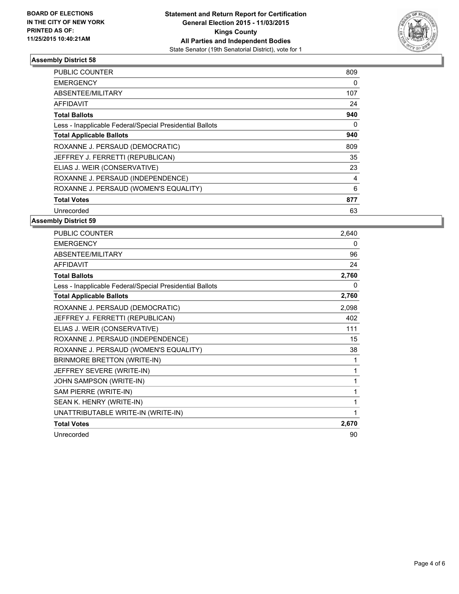

| <b>PUBLIC COUNTER</b>                                    | 809 |
|----------------------------------------------------------|-----|
| <b>EMERGENCY</b>                                         | 0   |
| ABSENTEE/MILITARY                                        | 107 |
| <b>AFFIDAVIT</b>                                         | 24  |
| <b>Total Ballots</b>                                     | 940 |
| Less - Inapplicable Federal/Special Presidential Ballots | 0   |
| <b>Total Applicable Ballots</b>                          | 940 |
| ROXANNE J. PERSAUD (DEMOCRATIC)                          | 809 |
| JEFFREY J. FERRETTI (REPUBLICAN)                         | 35  |
| ELIAS J. WEIR (CONSERVATIVE)                             | 23  |
| ROXANNE J. PERSAUD (INDEPENDENCE)                        | 4   |
| ROXANNE J. PERSAUD (WOMEN'S EQUALITY)                    | 6   |
| <b>Total Votes</b>                                       | 877 |
| Unrecorded                                               | 63  |

| <b>PUBLIC COUNTER</b>                                    | 2,640 |
|----------------------------------------------------------|-------|
| <b>EMERGENCY</b>                                         | 0     |
| ABSENTEE/MILITARY                                        | 96    |
| <b>AFFIDAVIT</b>                                         | 24    |
| <b>Total Ballots</b>                                     | 2,760 |
| Less - Inapplicable Federal/Special Presidential Ballots | 0     |
| <b>Total Applicable Ballots</b>                          | 2,760 |
| ROXANNE J. PERSAUD (DEMOCRATIC)                          | 2,098 |
| JEFFREY J. FERRETTI (REPUBLICAN)                         | 402   |
| ELIAS J. WEIR (CONSERVATIVE)                             | 111   |
| ROXANNE J. PERSAUD (INDEPENDENCE)                        | 15    |
| ROXANNE J. PERSAUD (WOMEN'S EQUALITY)                    | 38    |
| BRINMORE BRETTON (WRITE-IN)                              | 1     |
| JEFFREY SEVERE (WRITE-IN)                                | 1     |
| JOHN SAMPSON (WRITE-IN)                                  | 1     |
| SAM PIERRE (WRITE-IN)                                    | 1     |
| SEAN K. HENRY (WRITE-IN)                                 | 1     |
| UNATTRIBUTABLE WRITE-IN (WRITE-IN)                       | 1     |
| <b>Total Votes</b>                                       | 2,670 |
| Unrecorded                                               | 90    |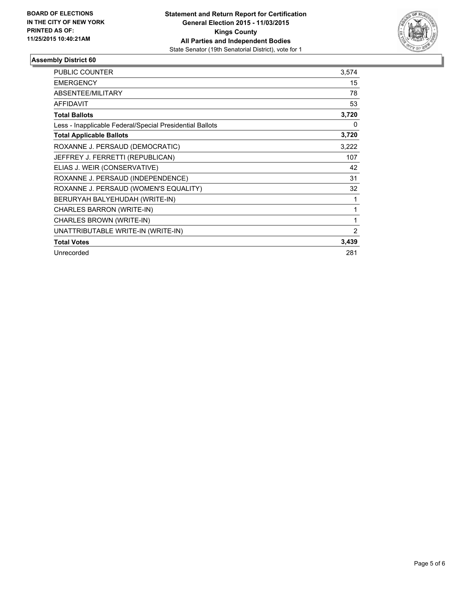

| <b>PUBLIC COUNTER</b>                                    | 3,574          |
|----------------------------------------------------------|----------------|
| <b>EMERGENCY</b>                                         | 15             |
| ABSENTEE/MILITARY                                        | 78             |
| <b>AFFIDAVIT</b>                                         | 53             |
| <b>Total Ballots</b>                                     | 3,720          |
| Less - Inapplicable Federal/Special Presidential Ballots | 0              |
| <b>Total Applicable Ballots</b>                          | 3,720          |
| ROXANNE J. PERSAUD (DEMOCRATIC)                          | 3,222          |
| JEFFREY J. FERRETTI (REPUBLICAN)                         | 107            |
| ELIAS J. WEIR (CONSERVATIVE)                             | 42             |
| ROXANNE J. PERSAUD (INDEPENDENCE)                        | 31             |
| ROXANNE J. PERSAUD (WOMEN'S EQUALITY)                    | 32             |
| BERURYAH BALYEHUDAH (WRITE-IN)                           | 1              |
| CHARLES BARRON (WRITE-IN)                                | 1              |
| CHARLES BROWN (WRITE-IN)                                 |                |
| UNATTRIBUTABLE WRITE-IN (WRITE-IN)                       | $\overline{2}$ |
| <b>Total Votes</b>                                       | 3,439          |
| Unrecorded                                               | 281            |